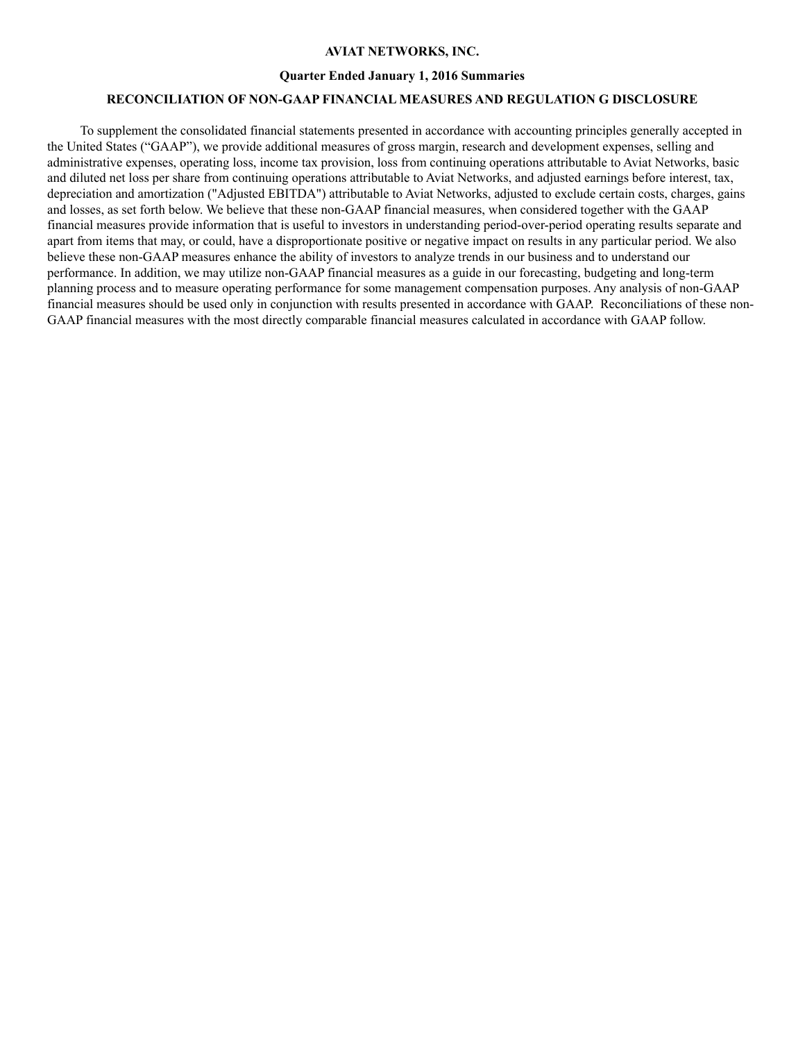#### **AVIAT NETWORKS, INC.**

#### **Quarter Ended January 1, 2016 Summaries**

### **RECONCILIATION OF NON-GAAP FINANCIAL MEASURES AND REGULATION G DISCLOSURE**

To supplement the consolidated financial statements presented in accordance with accounting principles generally accepted in the United States ("GAAP"), we provide additional measures of gross margin, research and development expenses, selling and administrative expenses, operating loss, income tax provision, loss from continuing operations attributable to Aviat Networks, basic and diluted net loss per share from continuing operations attributable to Aviat Networks, and adjusted earnings before interest, tax, depreciation and amortization ("Adjusted EBITDA") attributable to Aviat Networks, adjusted to exclude certain costs, charges, gains and losses, as set forth below. We believe that these non-GAAP financial measures, when considered together with the GAAP financial measures provide information that is useful to investors in understanding period-over-period operating results separate and apart from items that may, or could, have a disproportionate positive or negative impact on results in any particular period. We also believe these non-GAAP measures enhance the ability of investors to analyze trends in our business and to understand our performance. In addition, we may utilize non-GAAP financial measures as a guide in our forecasting, budgeting and long-term planning process and to measure operating performance for some management compensation purposes. Any analysis of non-GAAP financial measures should be used only in conjunction with results presented in accordance with GAAP. Reconciliations of these non-GAAP financial measures with the most directly comparable financial measures calculated in accordance with GAAP follow.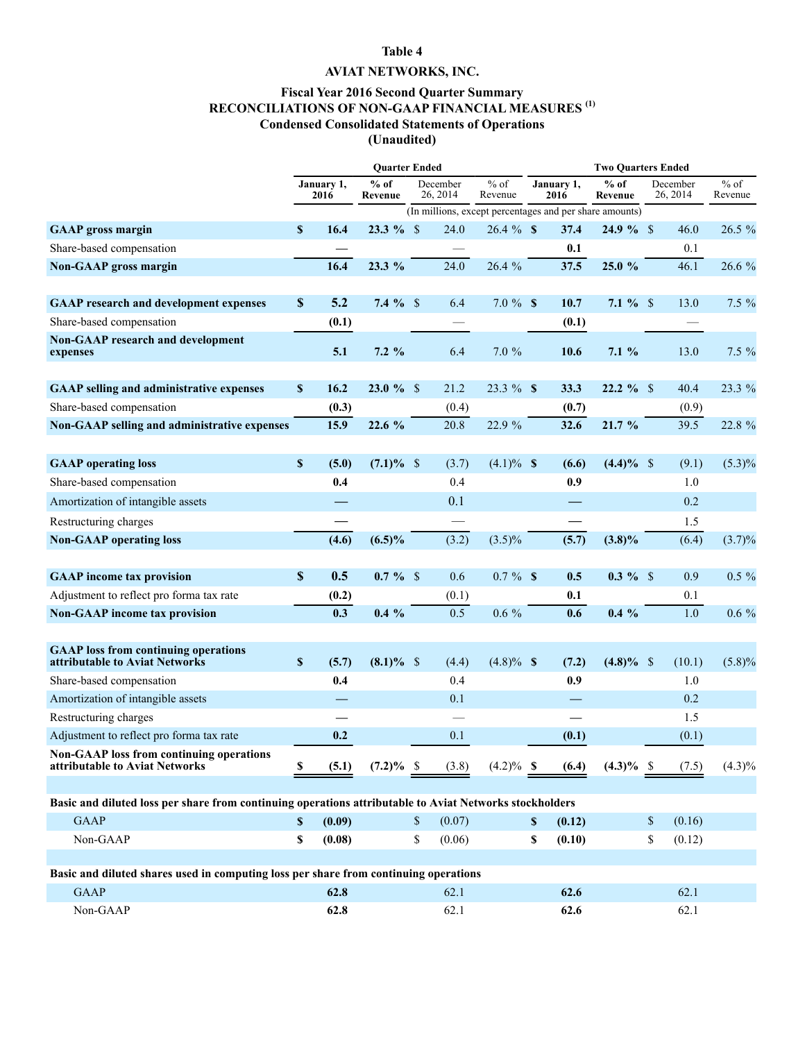## **Table 4**

# **AVIAT NETWORKS, INC.**

## **Fiscal Year 2016 Second Quarter Summary RECONCILIATIONS OF NON-GAAP FINANCIAL MEASURES (1) Condensed Consolidated Statements of Operations (Unaudited)**

|                                                                                                         | <b>Ouarter Ended</b>      |        |                   |    |                      |                   | <b>Two Ouarters Ended</b> |                    |                                                         |    |                      |                   |  |
|---------------------------------------------------------------------------------------------------------|---------------------------|--------|-------------------|----|----------------------|-------------------|---------------------------|--------------------|---------------------------------------------------------|----|----------------------|-------------------|--|
|                                                                                                         | January 1,<br>2016        |        | $%$ of<br>Revenue |    | December<br>26, 2014 | $%$ of<br>Revenue |                           | January 1,<br>2016 | $%$ of<br>Revenue                                       |    | December<br>26, 2014 | $%$ of<br>Revenue |  |
|                                                                                                         |                           |        |                   |    |                      |                   |                           |                    | (In millions, except percentages and per share amounts) |    |                      |                   |  |
| <b>GAAP</b> gross margin                                                                                | $\mathbf{s}$              | 16.4   | $23.3 \%$ \$      |    | 24.0                 | $26.4 \%$ \$      |                           | 37.4               | $24.9 \%$ \$                                            |    | 46.0                 | 26.5 %            |  |
| Share-based compensation                                                                                |                           |        |                   |    |                      |                   |                           | 0.1                |                                                         |    | 0.1                  |                   |  |
| Non-GAAP gross margin                                                                                   |                           | 16.4   | 23.3 %            |    | 24.0                 | 26.4 %            |                           | 37.5               | 25.0 %                                                  |    | 46.1                 | 26.6 %            |  |
| <b>GAAP</b> research and development expenses                                                           | $\boldsymbol{\mathsf{S}}$ | 5.2    | 7.4 $%$           |    | 6.4                  | $7.0 \%$ \$       |                           | 10.7               | 7.1 $%$ \$                                              |    | 13.0                 | $7.5 \%$          |  |
| Share-based compensation                                                                                |                           | (0.1)  |                   |    |                      |                   |                           | (0.1)              |                                                         |    |                      |                   |  |
| <b>Non-GAAP research and development</b><br>expenses                                                    |                           | 5.1    | $7.2\%$           |    | 6.4                  | 7.0%              |                           | 10.6               | $7.1\%$                                                 |    | 13.0                 | $7.5 \%$          |  |
| <b>GAAP selling and administrative expenses</b>                                                         | \$                        | 16.2   | $23.0 \%$ \$      |    | 21.2                 | 23.3 % \$         |                           | 33.3               | $22.2 \%$ \$                                            |    | 40.4                 | 23.3 %            |  |
| Share-based compensation                                                                                |                           | (0.3)  |                   |    | (0.4)                |                   |                           | (0.7)              |                                                         |    | (0.9)                |                   |  |
| Non-GAAP selling and administrative expenses                                                            |                           | 15.9   | 22.6 %            |    | 20.8                 | 22.9 %            |                           | 32.6               | 21.7%                                                   |    | 39.5                 | 22.8 %            |  |
| <b>GAAP</b> operating loss                                                                              | $\boldsymbol{\$}$         | (5.0)  | $(7.1)\%$ \$      |    | (3.7)                | $(4.1)\%$ \$      |                           | (6.6)              | $(4.4)\%$ \$                                            |    | (9.1)                | $(5.3)\%$         |  |
| Share-based compensation                                                                                |                           | 0.4    |                   |    | 0.4                  |                   |                           | 0.9                |                                                         |    | 1.0                  |                   |  |
| Amortization of intangible assets                                                                       |                           |        |                   |    | 0.1                  |                   |                           |                    |                                                         |    | 0.2                  |                   |  |
| Restructuring charges                                                                                   |                           |        |                   |    |                      |                   |                           |                    |                                                         |    | 1.5                  |                   |  |
| <b>Non-GAAP</b> operating loss                                                                          |                           | (4.6)  | $(6.5)\%$         |    | (3.2)                | $(3.5)\%$         |                           | (5.7)              | $(3.8)\%$                                               |    | (6.4)                | $(3.7)\%$         |  |
| <b>GAAP</b> income tax provision                                                                        | $\mathbf S$               | 0.5    | $0.7 \%$ \$       |    | 0.6                  | $0.7 \%$ \$       |                           | 0.5                | $0.3 \%$ \$                                             |    | 0.9                  | $0.5 \%$          |  |
| Adjustment to reflect pro forma tax rate                                                                |                           | (0.2)  |                   |    | (0.1)                |                   |                           | 0.1                |                                                         |    | 0.1                  |                   |  |
| <b>Non-GAAP</b> income tax provision                                                                    |                           | 0.3    | $0.4\%$           |    | 0.5                  | $0.6\%$           |                           | 0.6                | $0.4\%$                                                 |    | 1.0                  | $0.6\%$           |  |
|                                                                                                         |                           |        |                   |    |                      |                   |                           |                    |                                                         |    |                      |                   |  |
| <b>GAAP</b> loss from continuing operations<br>attributable to Aviat Networks                           | $\pmb{\mathbb{S}}$        | (5.7)  | $(8.1)\%$ \$      |    | (4.4)                | $(4.8)\%$ \$      |                           | (7.2)              | $(4.8)\%$ \$                                            |    | (10.1)               | $(5.8)\%$         |  |
| Share-based compensation                                                                                |                           | 0.4    |                   |    | 0.4                  |                   |                           | 0.9                |                                                         |    | 1.0                  |                   |  |
| Amortization of intangible assets                                                                       |                           |        |                   |    | 0.1                  |                   |                           | —                  |                                                         |    | 0.2                  |                   |  |
| Restructuring charges                                                                                   |                           |        |                   |    |                      |                   |                           |                    |                                                         |    | 1.5                  |                   |  |
| Adjustment to reflect pro forma tax rate                                                                |                           | 0.2    |                   |    | 0.1                  |                   |                           | (0.1)              |                                                         |    | (0.1)                |                   |  |
| <b>Non-GAAP</b> loss from continuing operations<br>attributable to Aviat Networks                       | \$                        | (5.1)  | $(7.2)\%$ \$      |    | (3.8)                | $(4.2)\%$ \$      |                           | (6.4)              | $(4.3)\%$ \$                                            |    | (7.5)                | $(4.3)\%$         |  |
|                                                                                                         |                           |        |                   |    |                      |                   |                           |                    |                                                         |    |                      |                   |  |
| Basic and diluted loss per share from continuing operations attributable to Aviat Networks stockholders |                           |        |                   |    |                      |                   |                           |                    |                                                         |    |                      |                   |  |
| <b>GAAP</b>                                                                                             | \$                        | (0.09) |                   | \$ | (0.07)               |                   | \$                        | (0.12)             |                                                         | \$ | (0.16)               |                   |  |
| Non-GAAP                                                                                                | \$                        | (0.08) |                   | \$ | (0.06)               |                   | \$                        | (0.10)             |                                                         | \$ | (0.12)               |                   |  |
|                                                                                                         |                           |        |                   |    |                      |                   |                           |                    |                                                         |    |                      |                   |  |
| Basic and diluted shares used in computing loss per share from continuing operations                    |                           |        |                   |    |                      |                   |                           |                    |                                                         |    |                      |                   |  |
| <b>GAAP</b>                                                                                             |                           | 62.8   |                   |    | 62.1                 |                   |                           | 62.6               |                                                         |    | 62.1                 |                   |  |
| Non-GAAP                                                                                                |                           | 62.8   |                   |    | 62.1                 |                   |                           | 62.6               |                                                         |    | 62.1                 |                   |  |